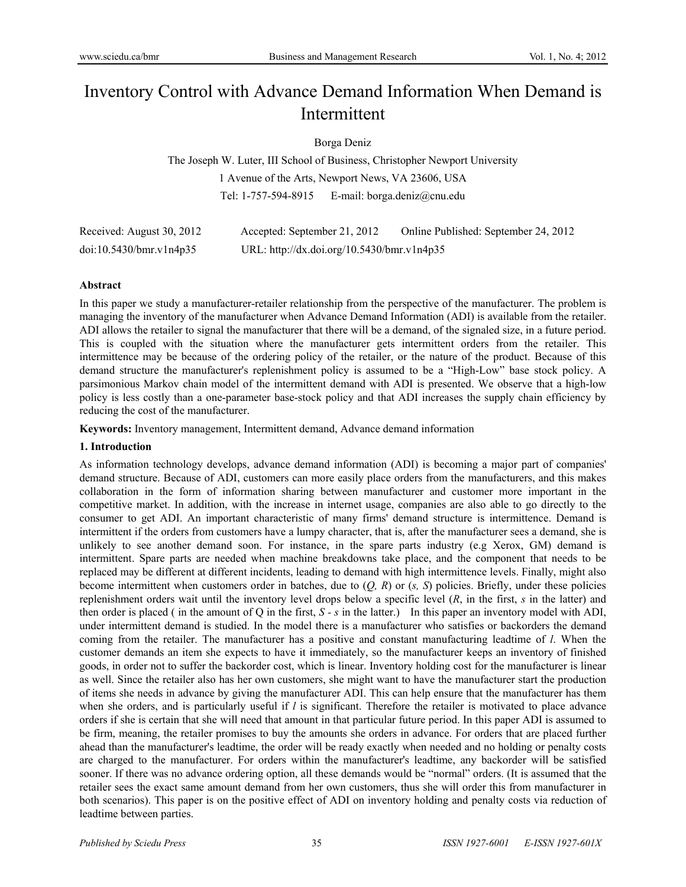# Inventory Control with Advance Demand Information When Demand is Intermittent

## Borga Deniz

The Joseph W. Luter, III School of Business, Christopher Newport University 1 Avenue of the Arts, Newport News, VA 23606, USA Tel: 1-757-594-8915 E-mail: borga.deniz@cnu.edu

| Received: August 30, 2012 | Accepted: September 21, 2012               | Online Published: September 24, 2012 |
|---------------------------|--------------------------------------------|--------------------------------------|
| doi:10.5430/bmr.v1n4p35   | URL: http://dx.doi.org/10.5430/bmr.v1n4p35 |                                      |

#### **Abstract**

In this paper we study a manufacturer-retailer relationship from the perspective of the manufacturer. The problem is managing the inventory of the manufacturer when Advance Demand Information (ADI) is available from the retailer. ADI allows the retailer to signal the manufacturer that there will be a demand, of the signaled size, in a future period. This is coupled with the situation where the manufacturer gets intermittent orders from the retailer. This intermittence may be because of the ordering policy of the retailer, or the nature of the product. Because of this demand structure the manufacturer's replenishment policy is assumed to be a "High-Low" base stock policy. A parsimonious Markov chain model of the intermittent demand with ADI is presented. We observe that a high-low policy is less costly than a one-parameter base-stock policy and that ADI increases the supply chain efficiency by reducing the cost of the manufacturer.

**Keywords:** Inventory management, Intermittent demand, Advance demand information

#### **1. Introduction**

As information technology develops, advance demand information (ADI) is becoming a major part of companies' demand structure. Because of ADI, customers can more easily place orders from the manufacturers, and this makes collaboration in the form of information sharing between manufacturer and customer more important in the competitive market. In addition, with the increase in internet usage, companies are also able to go directly to the consumer to get ADI. An important characteristic of many firms' demand structure is intermittence. Demand is intermittent if the orders from customers have a lumpy character, that is, after the manufacturer sees a demand, she is unlikely to see another demand soon. For instance, in the spare parts industry (e.g Xerox, GM) demand is intermittent. Spare parts are needed when machine breakdowns take place, and the component that needs to be replaced may be different at different incidents, leading to demand with high intermittence levels. Finally, might also become intermittent when customers order in batches, due to (*Q, R*) or (*s, S*) policies. Briefly, under these policies replenishment orders wait until the inventory level drops below a specific level (*R*, in the first, *s* in the latter) and then order is placed (in the amount of Q in the first,  $S - s$  in the latter.) In this paper an inventory model with ADI, under intermittent demand is studied. In the model there is a manufacturer who satisfies or backorders the demand coming from the retailer. The manufacturer has a positive and constant manufacturing leadtime of *l*. When the customer demands an item she expects to have it immediately, so the manufacturer keeps an inventory of finished goods, in order not to suffer the backorder cost, which is linear. Inventory holding cost for the manufacturer is linear as well. Since the retailer also has her own customers, she might want to have the manufacturer start the production of items she needs in advance by giving the manufacturer ADI. This can help ensure that the manufacturer has them when she orders, and is particularly useful if *l* is significant. Therefore the retailer is motivated to place advance orders if she is certain that she will need that amount in that particular future period. In this paper ADI is assumed to be firm, meaning, the retailer promises to buy the amounts she orders in advance. For orders that are placed further ahead than the manufacturer's leadtime, the order will be ready exactly when needed and no holding or penalty costs are charged to the manufacturer. For orders within the manufacturer's leadtime, any backorder will be satisfied sooner. If there was no advance ordering option, all these demands would be "normal" orders. (It is assumed that the retailer sees the exact same amount demand from her own customers, thus she will order this from manufacturer in both scenarios). This paper is on the positive effect of ADI on inventory holding and penalty costs via reduction of leadtime between parties.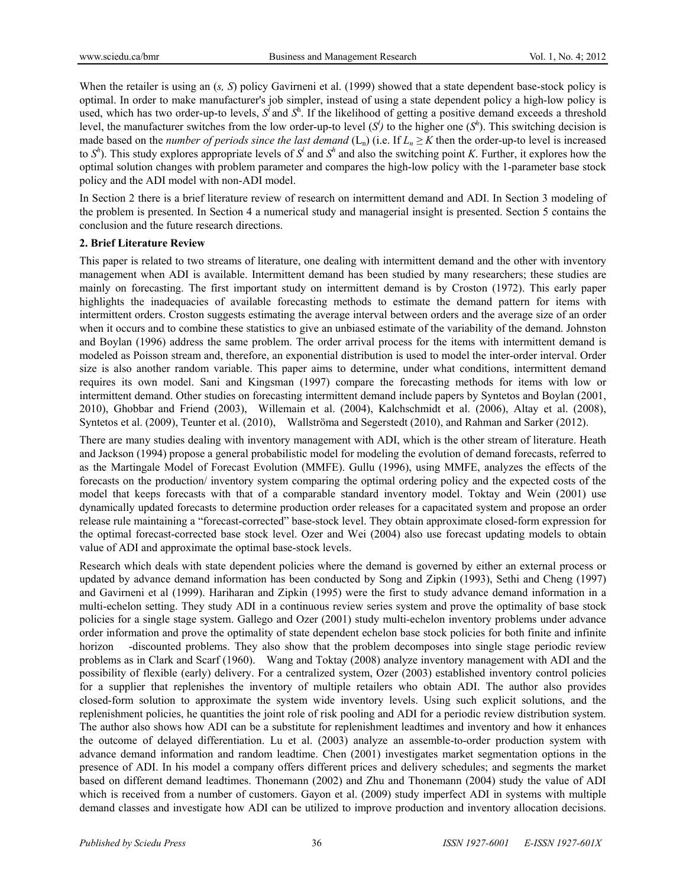When the retailer is using an (*s*, *S*) policy Gavirneni et al. (1999) showed that a state dependent base-stock policy is optimal. In order to make manufacturer's job simpler, instead of using a state dependent policy a high-low policy is used, which has two order-up-to levels,  $S^i$  and  $S^h$ . If the likelihood of getting a positive demand exceeds a threshold level, the manufacturer switches from the low order-up-to level  $(S<sup>j</sup>)$  to the higher one  $(S<sup>h</sup>)$ . This switching decision is made based on the *number of periods since the last demand* ( $L_n$ ) (i.e. If  $L_n \ge K$  then the order-up-to level is increased to  $S^h$ ). This study explores appropriate levels of  $S^l$  and  $S^h$  and also the switching point *K*. Further, it explores how the optimal solution changes with problem parameter and compares the high-low policy with the 1-parameter base stock policy and the ADI model with non-ADI model.

In Section 2 there is a brief literature review of research on intermittent demand and ADI. In Section 3 modeling of the problem is presented. In Section 4 a numerical study and managerial insight is presented. Section 5 contains the conclusion and the future research directions.

#### **2. Brief Literature Review**

This paper is related to two streams of literature, one dealing with intermittent demand and the other with inventory management when ADI is available. Intermittent demand has been studied by many researchers; these studies are mainly on forecasting. The first important study on intermittent demand is by Croston (1972). This early paper highlights the inadequacies of available forecasting methods to estimate the demand pattern for items with intermittent orders. Croston suggests estimating the average interval between orders and the average size of an order when it occurs and to combine these statistics to give an unbiased estimate of the variability of the demand. Johnston and Boylan (1996) address the same problem. The order arrival process for the items with intermittent demand is modeled as Poisson stream and, therefore, an exponential distribution is used to model the inter-order interval. Order size is also another random variable. This paper aims to determine, under what conditions, intermittent demand requires its own model. Sani and Kingsman (1997) compare the forecasting methods for items with low or intermittent demand. Other studies on forecasting intermittent demand include papers by Syntetos and Boylan (2001, 2010), Ghobbar and Friend (2003), Willemain et al. (2004), Kalchschmidt et al. (2006), Altay et al. (2008), Syntetos et al. (2009), Teunter et al. (2010), Wallströma and Segerstedt (2010), and Rahman and Sarker (2012).

There are many studies dealing with inventory management with ADI, which is the other stream of literature. Heath and Jackson (1994) propose a general probabilistic model for modeling the evolution of demand forecasts, referred to as the Martingale Model of Forecast Evolution (MMFE). Gullu (1996), using MMFE, analyzes the effects of the forecasts on the production/ inventory system comparing the optimal ordering policy and the expected costs of the model that keeps forecasts with that of a comparable standard inventory model. Toktay and Wein (2001) use dynamically updated forecasts to determine production order releases for a capacitated system and propose an order release rule maintaining a "forecast-corrected" base-stock level. They obtain approximate closed-form expression for the optimal forecast-corrected base stock level. Ozer and Wei (2004) also use forecast updating models to obtain value of ADI and approximate the optimal base-stock levels.

Research which deals with state dependent policies where the demand is governed by either an external process or updated by advance demand information has been conducted by Song and Zipkin (1993), Sethi and Cheng (1997) and Gavirneni et al (1999). Hariharan and Zipkin (1995) were the first to study advance demand information in a multi-echelon setting. They study ADI in a continuous review series system and prove the optimality of base stock policies for a single stage system. Gallego and Ozer (2001) study multi-echelon inventory problems under advance order information and prove the optimality of state dependent echelon base stock policies for both finite and infinite horizon -discounted problems. They also show that the problem decomposes into single stage periodic review problems as in Clark and Scarf (1960). Wang and Toktay (2008) analyze inventory management with ADI and the possibility of flexible (early) delivery. For a centralized system, Ozer (2003) established inventory control policies for a supplier that replenishes the inventory of multiple retailers who obtain ADI. The author also provides closed-form solution to approximate the system wide inventory levels. Using such explicit solutions, and the replenishment policies, he quantities the joint role of risk pooling and ADI for a periodic review distribution system. The author also shows how ADI can be a substitute for replenishment leadtimes and inventory and how it enhances the outcome of delayed differentiation. Lu et al. (2003) analyze an assemble-to-order production system with advance demand information and random leadtime. Chen (2001) investigates market segmentation options in the presence of ADI. In his model a company offers different prices and delivery schedules; and segments the market based on different demand leadtimes. Thonemann (2002) and Zhu and Thonemann (2004) study the value of ADI which is received from a number of customers. Gayon et al. (2009) study imperfect ADI in systems with multiple demand classes and investigate how ADI can be utilized to improve production and inventory allocation decisions.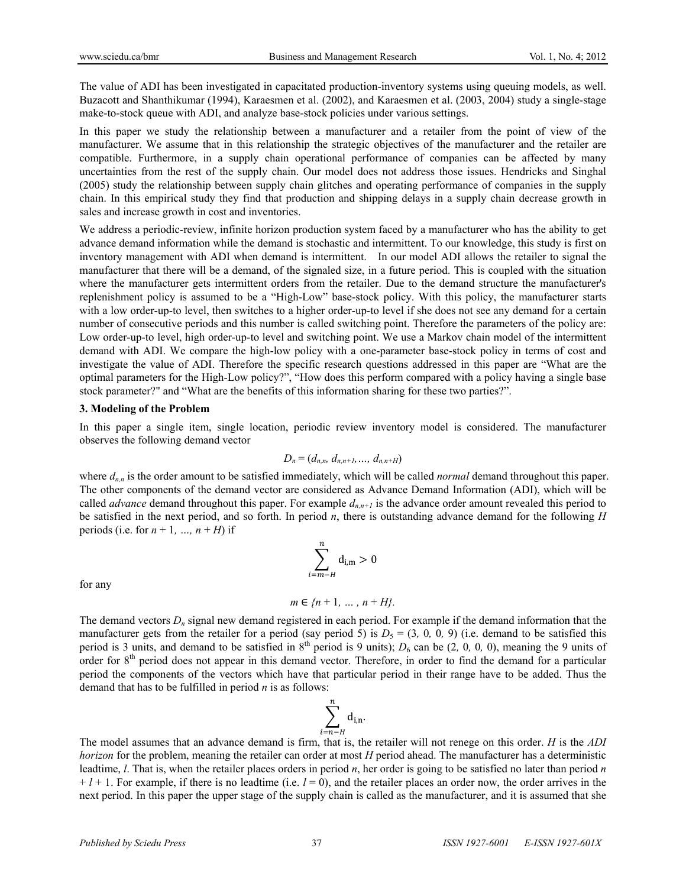The value of ADI has been investigated in capacitated production-inventory systems using queuing models, as well. Buzacott and Shanthikumar (1994), Karaesmen et al. (2002), and Karaesmen et al. (2003, 2004) study a single-stage make-to-stock queue with ADI, and analyze base-stock policies under various settings.

In this paper we study the relationship between a manufacturer and a retailer from the point of view of the manufacturer. We assume that in this relationship the strategic objectives of the manufacturer and the retailer are compatible. Furthermore, in a supply chain operational performance of companies can be affected by many uncertainties from the rest of the supply chain. Our model does not address those issues. Hendricks and Singhal (2005) study the relationship between supply chain glitches and operating performance of companies in the supply chain. In this empirical study they find that production and shipping delays in a supply chain decrease growth in sales and increase growth in cost and inventories.

We address a periodic-review, infinite horizon production system faced by a manufacturer who has the ability to get advance demand information while the demand is stochastic and intermittent. To our knowledge, this study is first on inventory management with ADI when demand is intermittent. In our model ADI allows the retailer to signal the manufacturer that there will be a demand, of the signaled size, in a future period. This is coupled with the situation where the manufacturer gets intermittent orders from the retailer. Due to the demand structure the manufacturer's replenishment policy is assumed to be a "High-Low" base-stock policy. With this policy, the manufacturer starts with a low order-up-to level, then switches to a higher order-up-to level if she does not see any demand for a certain number of consecutive periods and this number is called switching point. Therefore the parameters of the policy are: Low order-up-to level, high order-up-to level and switching point. We use a Markov chain model of the intermittent demand with ADI. We compare the high-low policy with a one-parameter base-stock policy in terms of cost and investigate the value of ADI. Therefore the specific research questions addressed in this paper are "What are the optimal parameters for the High-Low policy?", "How does this perform compared with a policy having a single base stock parameter?" and "What are the benefits of this information sharing for these two parties?".

#### **3. Modeling of the Problem**

In this paper a single item, single location, periodic review inventory model is considered. The manufacturer observes the following demand vector

$$
D_n = (d_{n,n}, d_{n,n+1}, ..., d_{n,n+H})
$$

where  $d_{n,n}$  is the order amount to be satisfied immediately, which will be called *normal* demand throughout this paper. The other components of the demand vector are considered as Advance Demand Information (ADI), which will be called *advance* demand throughout this paper. For example  $d_{n,n+1}$  is the advance order amount revealed this period to be satisfied in the next period, and so forth. In period *n*, there is outstanding advance demand for the following *H*  periods (i.e. for  $n + 1$ , ...,  $n + H$ ) if

$$
\sum_{i=m-H}^{n} \mathbf{d}_{i,m} > 0
$$

for any

$$
m \in \{n+1, ..., n+H\}.
$$

The demand vectors *Dn* signal new demand registered in each period. For example if the demand information that the manufacturer gets from the retailer for a period (say period 5) is  $D_5 = (3, 0, 0, 9)$  (i.e. demand to be satisfied this period is 3 units, and demand to be satisfied in  $8<sup>th</sup>$  period is 9 units);  $D<sub>6</sub>$  can be (2, 0, 0, 0), meaning the 9 units of order for 8<sup>th</sup> period does not appear in this demand vector. Therefore, in order to find the demand for a particular period the components of the vectors which have that particular period in their range have to be added. Thus the demand that has to be fulfilled in period *n* is as follows:

$$
\sum_{i=n-H}^{n} d_{i,n}.
$$

The model assumes that an advance demand is firm, that is, the retailer will not renege on this order. *H* is the *ADI horizon* for the problem, meaning the retailer can order at most *H* period ahead. The manufacturer has a deterministic leadtime, *l*. That is, when the retailer places orders in period *n*, her order is going to be satisfied no later than period *n*   $+ l + 1$ . For example, if there is no leadtime (i.e.  $l = 0$ ), and the retailer places an order now, the order arrives in the next period. In this paper the upper stage of the supply chain is called as the manufacturer, and it is assumed that she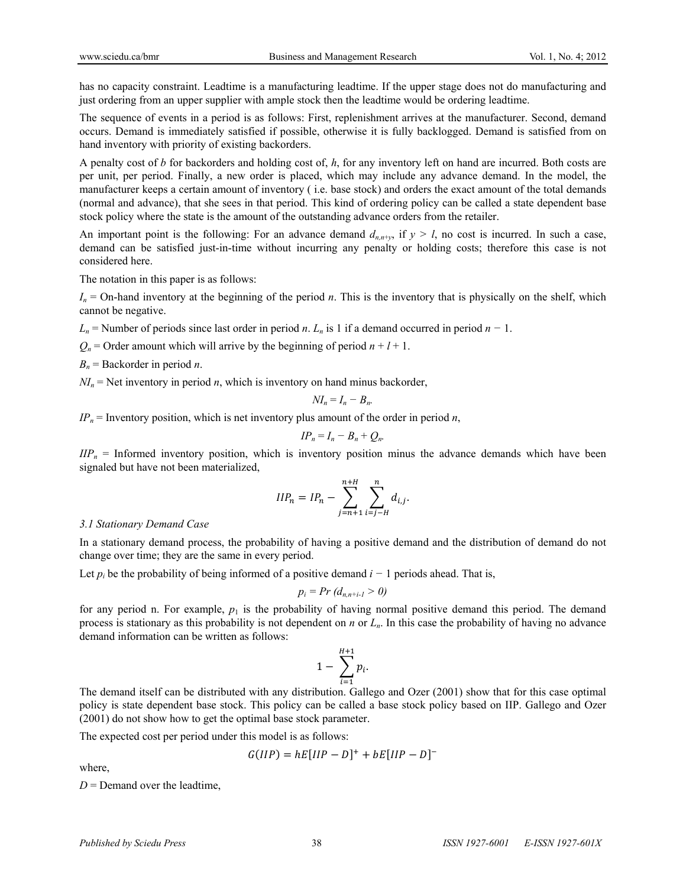has no capacity constraint. Leadtime is a manufacturing leadtime. If the upper stage does not do manufacturing and just ordering from an upper supplier with ample stock then the leadtime would be ordering leadtime.

The sequence of events in a period is as follows: First, replenishment arrives at the manufacturer. Second, demand occurs. Demand is immediately satisfied if possible, otherwise it is fully backlogged. Demand is satisfied from on hand inventory with priority of existing backorders.

A penalty cost of *b* for backorders and holding cost of, *h*, for any inventory left on hand are incurred. Both costs are per unit, per period. Finally, a new order is placed, which may include any advance demand. In the model, the manufacturer keeps a certain amount of inventory ( i.e. base stock) and orders the exact amount of the total demands (normal and advance), that she sees in that period. This kind of ordering policy can be called a state dependent base stock policy where the state is the amount of the outstanding advance orders from the retailer.

An important point is the following: For an advance demand  $d_{n,n+\nu}$ , if  $y > l$ , no cost is incurred. In such a case, demand can be satisfied just-in-time without incurring any penalty or holding costs; therefore this case is not considered here.

The notation in this paper is as follows:

*In* = On-hand inventory at the beginning of the period *n*. This is the inventory that is physically on the shelf, which cannot be negative.

*Ln* = Number of periods since last order in period *n*. *Ln* is 1 if a demand occurred in period *n −* 1.

 $Q_n$  = Order amount which will arrive by the beginning of period  $n + l + 1$ .

 $B_n$  = Backorder in period *n*.

 $NI_n$  = Net inventory in period *n*, which is inventory on hand minus backorder,

$$
NI_n=I_n-B_n.
$$

 $IP_n$  = Inventory position, which is net inventory plus amount of the order in period *n*,

$$
IP_n = I_n - B_n + Q_n.
$$

 $IIP<sub>n</sub>$  = Informed inventory position, which is inventory position minus the advance demands which have been signaled but have not been materialized,

$$
IIP_n = IP_n - \sum_{j=n+1}^{n+H} \sum_{i=j-H}^{n} d_{i,j}.
$$

#### *3.1 Stationary Demand Case*

In a stationary demand process, the probability of having a positive demand and the distribution of demand do not change over time; they are the same in every period.

Let *pi* be the probability of being informed of a positive demand *i −* 1 periods ahead. That is,

$$
p_i = Pr\left(d_{n,n+i-1} > 0\right)
$$

for any period n. For example,  $p_1$  is the probability of having normal positive demand this period. The demand process is stationary as this probability is not dependent on *n* or *Ln*. In this case the probability of having no advance demand information can be written as follows:

$$
1-\sum_{i=1}^{H+1}p_i.
$$

The demand itself can be distributed with any distribution. Gallego and Ozer (2001) show that for this case optimal policy is state dependent base stock. This policy can be called a base stock policy based on IIP. Gallego and Ozer (2001) do not show how to get the optimal base stock parameter.

The expected cost per period under this model is as follows:

$$
G(IIP) = hE[IIP - D]^{+} + bE[IIP - D]^{-}
$$

where,

 $D =$ Demand over the leadtime,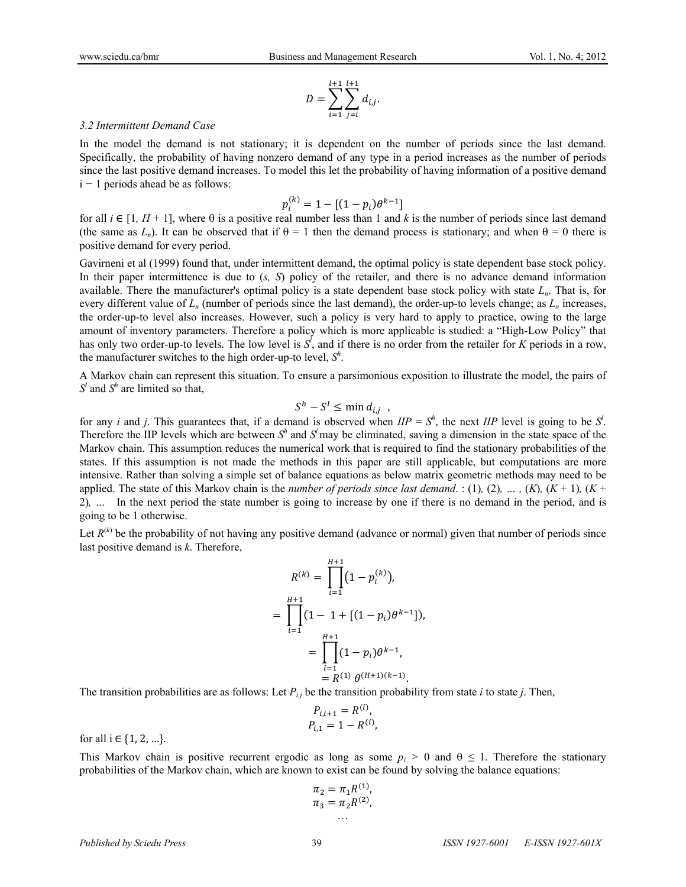$$
D = \sum_{i=1}^{l+1} \sum_{j=i}^{l+1} d_{i,j}.
$$

#### *3.2 Intermittent Demand Case*

In the model the demand is not stationary; it is dependent on the number of periods since the last demand. Specifically, the probability of having nonzero demand of any type in a period increases as the number of periods since the last positive demand increases. To model this let the probability of having information of a positive demand i *−* 1 periods ahead be as follows:

$$
p_i^{(k)} = 1 - [(1 - p_i)\theta^{k-1}]
$$

for all  $i \in [1, H+1]$ , where  $\theta$  is a positive real number less than 1 and k is the number of periods since last demand (the same as  $L_n$ ). It can be observed that if  $\theta = 1$  then the demand process is stationary; and when  $\theta = 0$  there is positive demand for every period.

Gavirneni et al (1999) found that, under intermittent demand, the optimal policy is state dependent base stock policy. In their paper intermittence is due to (*s, S*) policy of the retailer, and there is no advance demand information available. There the manufacturer's optimal policy is a state dependent base stock policy with state *Ln*. That is, for every different value of *Ln* (number of periods since the last demand), the order-up-to levels change; as *Ln* increases, the order-up-to level also increases. However, such a policy is very hard to apply to practice, owing to the large amount of inventory parameters. Therefore a policy which is more applicable is studied: a "High-Low Policy" that has only two order-up-to levels. The low level is *S<sup>l</sup>* , and if there is no order from the retailer for *K* periods in a row, the manufacturer switches to the high order-up-to level,  $S^h$ .

A Markov chain can represent this situation. To ensure a parsimonious exposition to illustrate the model, the pairs of *Sl* and *S<sup>h</sup>* are limited so that,

$$
S^h - S^l \le \min d_{i,j} ,
$$

for any *i* and *j*. This guarantees that, if a demand is observed when  $IIP = S^h$ , the next *IIP* level is going to be  $S^l$ . Therefore the IIP levels which are between  $S^h$  and  $S^l$  may be eliminated, saving a dimension in the state space of the Markov chain. This assumption reduces the numerical work that is required to find the stationary probabilities of the states. If this assumption is not made the methods in this paper are still applicable, but computations are more intensive. Rather than solving a simple set of balance equations as below matrix geometric methods may need to be applied. The state of this Markov chain is the *number of periods since last demand*. : (1), (2), ..., (*K*), (*K* + 1), (*K* + 2)*, …* In the next period the state number is going to increase by one if there is no demand in the period, and is going to be 1 otherwise.

Let  $R^{(k)}$  be the probability of not having any positive demand (advance or normal) given that number of periods since last positive demand is *k*. Therefore,

$$
R^{(k)} = \prod_{i=1}^{H+1} (1 - p_i^{(k)}),
$$
  
= 
$$
\prod_{i=1}^{H+1} (1 - 1 + [(1 - p_i)\theta^{k-1}]),
$$
  
= 
$$
\prod_{i=1}^{H+1} (1 - p_i)\theta^{k-1},
$$
  
= 
$$
R^{(1)} \theta^{(H+1)(k-1)}.
$$

The transition probabilities are as follows: Let *Pi,j* be the transition probability from state *i* to state *j*. Then,

$$
P_{i,i+1} = R^{(i)},
$$
  

$$
P_{i,1} = 1 - R^{(i)},
$$

for all  $i \in \{1, 2, ...\}$ .

This Markov chain is positive recurrent ergodic as long as some  $p_i > 0$  and  $\theta \le 1$ . Therefore the stationary probabilities of the Markov chain, which are known to exist can be found by solving the balance equations:

$$
\pi_2 = \pi_1 R^{(1)}, \n\pi_3 = \pi_2 R^{(2)}, \n...
$$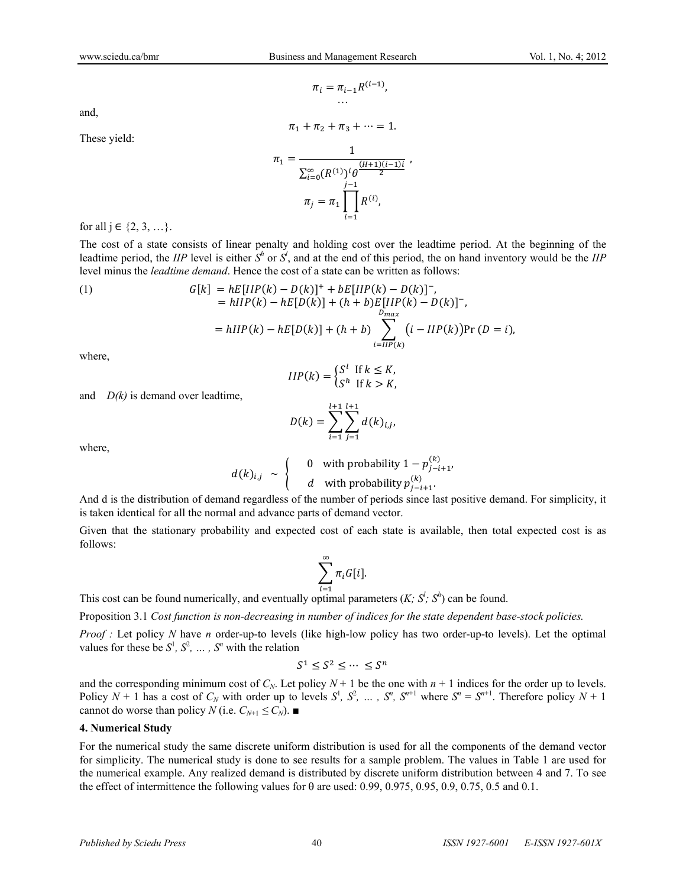$\pi_i = \pi_{i-1} R^{(i-1)}$ , …

 $\pi_1 + \pi_2 + \pi_3 + \cdots = 1.$ 

and,

These yield:

$$
\pi_1 = \frac{1}{\sum_{i=0}^{\infty} (R^{(1)})^i \theta^{\frac{(H+1)(i-1)i}{2}}}
$$
\n
$$
\pi_j = \pi_1 \prod_{i=1}^{j-1} R^{(i)},
$$

for all  $j \in \{2, 3, ...\}$ .

The cost of a state consists of linear penalty and holding cost over the leadtime period. At the beginning of the leadtime period, the *IIP* level is either  $S^h$  or  $S^l$ , and at the end of this period, the on hand inventory would be the *IIP* level minus the *leadtime demand*. Hence the cost of a state can be written as follows:

(1) 
$$
G[k] = hE[IIP(k) - D(k)]^+ + bE[IIP(k) - D(k)]^-,
$$

$$
= hIIP(k) - hE[D(k)] + (h + b)E[IIP(k) - D(k)]^-,
$$

$$
= hIIP(k) - hE[D(k)] + (h + b) \sum_{i=IIP(k)}^{D_{max}} (i - IIP(k))Pr(D = i),
$$

where,

$$
HP(k) = \begin{cases} S^l & \text{if } k \leq K, \\ S^h & \text{if } k > K, \end{cases}
$$

and *D(k)* is demand over leadtime,

$$
D(k) = \sum_{i=1}^{l+1} \sum_{j=1}^{l+1} d(k)_{i,j},
$$

where,

$$
d(k)_{i,j} \sim \begin{cases} 0 & \text{with probability } 1 - p_{j-i+1}^{(k)}, \\ d & \text{with probability } p_{j-i+1}^{(k)} .\end{cases}
$$

And d is the distribution of demand regardless of the number of periods since last positive demand. For simplicity, it is taken identical for all the normal and advance parts of demand vector.

Given that the stationary probability and expected cost of each state is available, then total expected cost is as follows:

$$
\sum_{i=1}^{\infty} \pi_i G[i].
$$

This cost can be found numerically, and eventually optimal parameters  $(K; S'; S')$  can be found.

Proposition 3.1 *Cost function is non-decreasing in number of indices for the state dependent base-stock policies.* 

*Proof :* Let policy *N* have *n* order-up-to levels (like high-low policy has two order-up-to levels). Let the optimal values for these be  $S^1$ ,  $S^2$ ,  $\dots$ ,  $S^n$  with the relation

$$
S^1 \leq S^2 \leq \cdots \, \leq S^n
$$

and the corresponding minimum cost of  $C_N$ . Let policy  $N + 1$  be the one with  $n + 1$  indices for the order up to levels. Policy  $N + 1$  has a cost of  $C_N$  with order up to levels  $S^1$ ,  $S^2$ ,  $\ldots$ ,  $S^n$ ,  $S^{n+1}$  where  $S^n = S^{n+1}$ . Therefore policy  $N + 1$ cannot do worse than policy *N* (i.e.  $C_{N+1} \leq C_N$ ).

#### **4. Numerical Study**

For the numerical study the same discrete uniform distribution is used for all the components of the demand vector for simplicity. The numerical study is done to see results for a sample problem. The values in Table 1 are used for the numerical example. Any realized demand is distributed by discrete uniform distribution between 4 and 7. To see the effect of intermittence the following values for  $\theta$  are used: 0.99, 0.975, 0.95, 0.9, 0.75, 0.5 and 0.1.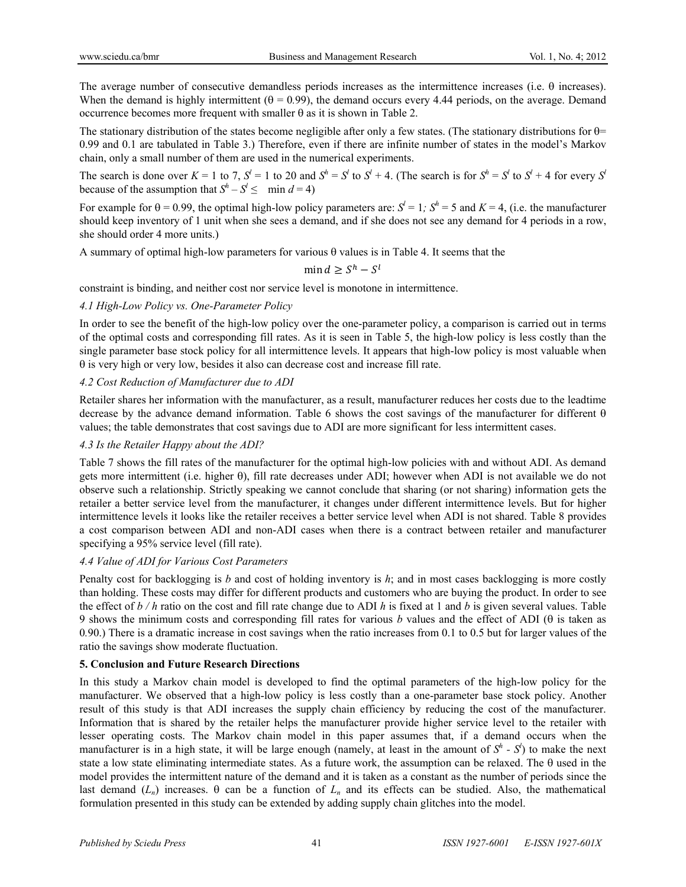The average number of consecutive demandless periods increases as the intermittence increases (i.e.  $\theta$  increases). When the demand is highly intermittent  $(\theta = 0.99)$ , the demand occurs every 4.44 periods, on the average. Demand occurrence becomes more frequent with smaller  $\theta$  as it is shown in Table 2.

The stationary distribution of the states become negligible after only a few states. (The stationary distributions for  $\theta$ = 0.99 and 0.1 are tabulated in Table 3.) Therefore, even if there are infinite number of states in the model's Markov chain, only a small number of them are used in the numerical experiments.

The search is done over  $K = 1$  to 7,  $S' = 1$  to 20 and  $S' = S'$  to  $S' + 4$ . (The search is for  $S' = S'$  to  $S' + 4$  for every  $S'$ because of the assumption that  $S^h - S^l \le \min d = 4$ )

For example for  $\theta = 0.99$ , the optimal high-low policy parameters are:  $S^l = 1$ ;  $S^h = 5$  and  $K = 4$ , (i.e. the manufacturer should keep inventory of 1 unit when she sees a demand, and if she does not see any demand for 4 periods in a row, she should order 4 more units.)

A summary of optimal high-low parameters for various  $\theta$  values is in Table 4. It seems that the

 $\min d > S^h - S^l$ 

constraint is binding, and neither cost nor service level is monotone in intermittence.

#### *4.1 High-Low Policy vs. One-Parameter Policy*

In order to see the benefit of the high-low policy over the one-parameter policy, a comparison is carried out in terms of the optimal costs and corresponding fill rates. As it is seen in Table 5, the high-low policy is less costly than the single parameter base stock policy for all intermittence levels. It appears that high-low policy is most valuable when  $\theta$  is very high or very low, besides it also can decrease cost and increase fill rate.

## *4.2 Cost Reduction of Manufacturer due to ADI*

Retailer shares her information with the manufacturer, as a result, manufacturer reduces her costs due to the leadtime decrease by the advance demand information. Table 6 shows the cost savings of the manufacturer for different  $\theta$ values; the table demonstrates that cost savings due to ADI are more significant for less intermittent cases.

## *4.3 Is the Retailer Happy about the ADI?*

Table 7 shows the fill rates of the manufacturer for the optimal high-low policies with and without ADI. As demand gets more intermittent (i.e. higher ), fill rate decreases under ADI; however when ADI is not available we do not observe such a relationship. Strictly speaking we cannot conclude that sharing (or not sharing) information gets the retailer a better service level from the manufacturer, it changes under different intermittence levels. But for higher intermittence levels it looks like the retailer receives a better service level when ADI is not shared. Table 8 provides a cost comparison between ADI and non-ADI cases when there is a contract between retailer and manufacturer specifying a 95% service level (fill rate).

## *4.4 Value of ADI for Various Cost Parameters*

Penalty cost for backlogging is *b* and cost of holding inventory is *h*; and in most cases backlogging is more costly than holding. These costs may differ for different products and customers who are buying the product. In order to see the effect of *b / h* ratio on the cost and fill rate change due to ADI *h* is fixed at 1 and *b* is given several values. Table 9 shows the minimum costs and corresponding fill rates for various *b* values and the effect of ADI ( $\theta$  is taken as 0*.*90.) There is a dramatic increase in cost savings when the ratio increases from 0.1 to 0.5 but for larger values of the ratio the savings show moderate fluctuation.

## **5. Conclusion and Future Research Directions**

In this study a Markov chain model is developed to find the optimal parameters of the high-low policy for the manufacturer. We observed that a high-low policy is less costly than a one-parameter base stock policy. Another result of this study is that ADI increases the supply chain efficiency by reducing the cost of the manufacturer. Information that is shared by the retailer helps the manufacturer provide higher service level to the retailer with lesser operating costs. The Markov chain model in this paper assumes that, if a demand occurs when the manufacturer is in a high state, it will be large enough (namely, at least in the amount of  $S^h$  -  $S^l$ ) to make the next state a low state eliminating intermediate states. As a future work, the assumption can be relaxed. The  $\theta$  used in the model provides the intermittent nature of the demand and it is taken as a constant as the number of periods since the last demand  $(L_n)$  increases.  $\theta$  can be a function of  $L_n$  and its effects can be studied. Also, the mathematical formulation presented in this study can be extended by adding supply chain glitches into the model.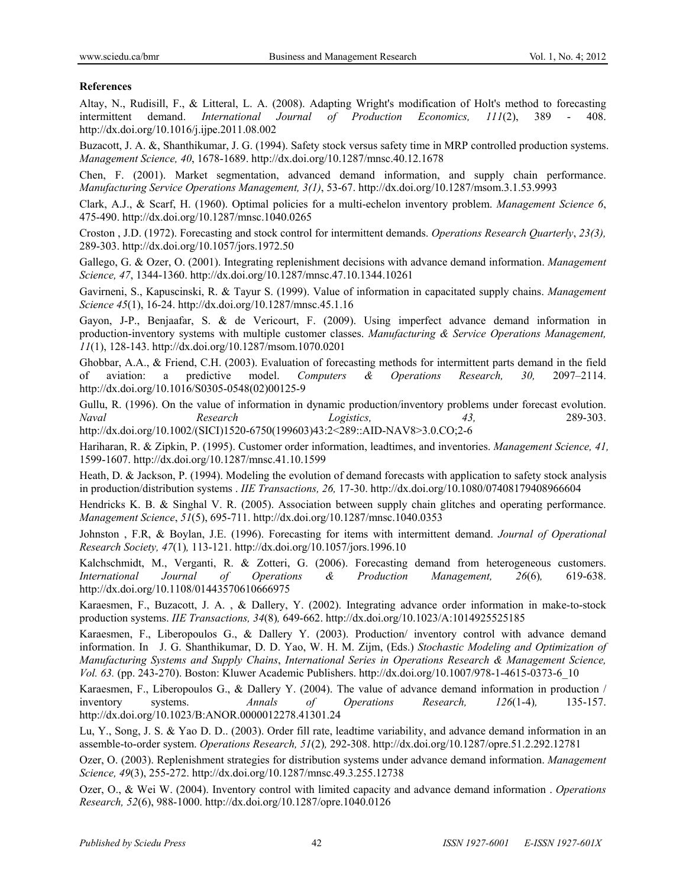#### **References**

Altay, N., Rudisill, F., & Litteral, L. A. (2008). Adapting Wright's modification of Holt's method to forecasting intermittent demand. *International Journal of Production Economics, 111*(2), 389 - 408. http://dx.doi.org/10.1016/j.ijpe.2011.08.002

Buzacott, J. A. &, Shanthikumar, J. G. (1994). Safety stock versus safety time in MRP controlled production systems. *Management Science, 40*, 1678-1689. http://dx.doi.org/10.1287/mnsc.40.12.1678

Chen, F. (2001). Market segmentation, advanced demand information, and supply chain performance. *Manufacturing Service Operations Management, 3(1)*, 53-67. http://dx.doi.org/10.1287/msom.3.1.53.9993

Clark, A.J., & Scarf, H. (1960). Optimal policies for a multi-echelon inventory problem. *Management Science 6*, 475-490. http://dx.doi.org/10.1287/mnsc.1040.0265

Croston , J.D. (1972). Forecasting and stock control for intermittent demands. *Operations Research Quarterly*, *23(3),* 289-303. http://dx.doi.org/10.1057/jors.1972.50

Gallego, G. & Ozer, O. (2001). Integrating replenishment decisions with advance demand information. *Management Science, 47*, 1344-1360. http://dx.doi.org/10.1287/mnsc.47.10.1344.10261

Gavirneni, S., Kapuscinski, R. & Tayur S. (1999). Value of information in capacitated supply chains. *Management Science 45*(1), 16-24. http://dx.doi.org/10.1287/mnsc.45.1.16

Gayon, J-P., Benjaafar, S. & de Vericourt, F. (2009). Using imperfect advance demand information in production-inventory systems with multiple customer classes. *Manufacturing & Service Operations Management, 11*(1), 128-143. http://dx.doi.org/10.1287/msom.1070.0201

Ghobbar, A.A., & Friend, C.H. (2003). Evaluation of forecasting methods for intermittent parts demand in the field of aviation: a predictive model. *Computers & Operations Research, 30,* 2097–2114. http://dx.doi.org/10.1016/S0305-0548(02)00125-9

Gullu, R. (1996). On the value of information in dynamic production/inventory problems under forecast evolution. *Naval Research Logistics, 43,* 289-303. http://dx.doi.org/10.1002/(SICI)1520-6750(199603)43:2<289::AID-NAV8>3.0.CO;2-6

Hariharan, R. & Zipkin, P. (1995). Customer order information, leadtimes, and inventories. *Management Science, 41,* 1599-1607. http://dx.doi.org/10.1287/mnsc.41.10.1599

Heath, D. & Jackson, P. (1994). Modeling the evolution of demand forecasts with application to safety stock analysis in production/distribution systems . *IIE Transactions, 26,* 17-30. http://dx.doi.org/10.1080/07408179408966604

Hendricks K. B. & Singhal V. R. (2005). Association between supply chain glitches and operating performance. *Management Science*, *51*(5), 695-711. http://dx.doi.org/10.1287/mnsc.1040.0353

Johnston , F.R, & Boylan, J.E. (1996). Forecasting for items with intermittent demand. *Journal of Operational Research Society, 47*(1)*,* 113-121. http://dx.doi.org/10.1057/jors.1996.10

Kalchschmidt, M., Verganti, R. & Zotteri, G. (2006). Forecasting demand from heterogeneous customers. *International Journal of Operations & Production Management, 26*(6)*,* 619-638. http://dx.doi.org/10.1108/01443570610666975

Karaesmen, F., Buzacott, J. A. , & Dallery, Y. (2002). Integrating advance order information in make-to-stock production systems. *IIE Transactions, 34*(8)*,* 649-662. http://dx.doi.org/10.1023/A:1014925525185

Karaesmen, F., Liberopoulos G., & Dallery Y. (2003). Production/ inventory control with advance demand information. In J. G. Shanthikumar, D. D. Yao, W. H. M. Zijm, (Eds.) *Stochastic Modeling and Optimization of Manufacturing Systems and Supply Chains*, *International Series in Operations Research & Management Science, Vol. 63.* (pp. 243-270). Boston: Kluwer Academic Publishers. http://dx.doi.org/10.1007/978-1-4615-0373-6\_10

Karaesmen, F., Liberopoulos G., & Dallery Y. (2004). The value of advance demand information in production / inventory systems. *Annals of Operations Research, 126*(1-4)*,* 135-157. http://dx.doi.org/10.1023/B:ANOR.0000012278.41301.24

Lu, Y., Song, J. S. & Yao D. D.. (2003). Order fill rate, leadtime variability, and advance demand information in an assemble-to-order system. *Operations Research, 51*(2)*,* 292-308. http://dx.doi.org/10.1287/opre.51.2.292.12781

Ozer, O. (2003). Replenishment strategies for distribution systems under advance demand information. *Management Science, 49*(3), 255-272. http://dx.doi.org/10.1287/mnsc.49.3.255.12738

Ozer, O., & Wei W. (2004). Inventory control with limited capacity and advance demand information . *Operations Research, 52*(6), 988-1000. http://dx.doi.org/10.1287/opre.1040.0126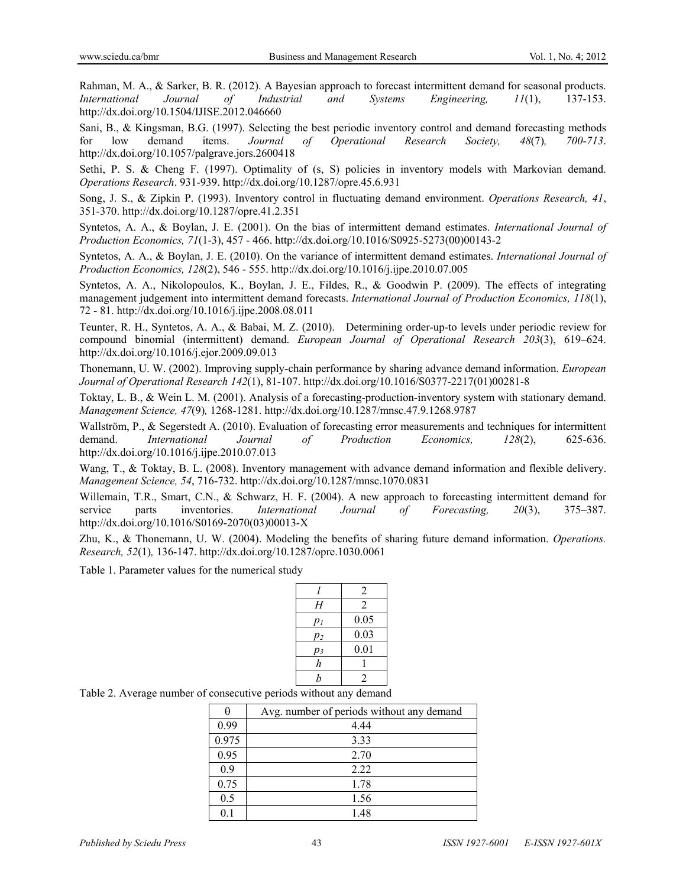Rahman, M. A., & Sarker, B. R. (2012). A Bayesian approach to forecast intermittent demand for seasonal products. *International Journal of Industrial and Systems Engineering, 11*(1), 137-153. http://dx.doi.org/10.1504/IJISE.2012.046660

Sani, B., & Kingsman, B.G. (1997). Selecting the best periodic inventory control and demand forecasting methods for low demand items. *Journal of Operational Research Society, 48*(7)*, 700-713*. http://dx.doi.org/10.1057/palgrave.jors.2600418

Sethi, P. S. & Cheng F. (1997). Optimality of (s, S) policies in inventory models with Markovian demand. *Operations Research*. 931-939. http://dx.doi.org/10.1287/opre.45.6.931

Song, J. S., & Zipkin P. (1993). Inventory control in fluctuating demand environment. *Operations Research, 41*, 351-370. http://dx.doi.org/10.1287/opre.41.2.351

Syntetos, A. A., & Boylan, J. E. (2001). On the bias of intermittent demand estimates. *International Journal of Production Economics, 71*(1-3), 457 - 466. http://dx.doi.org/10.1016/S0925-5273(00)00143-2

Syntetos, A. A., & Boylan, J. E. (2010). On the variance of intermittent demand estimates. *International Journal of Production Economics, 128*(2), 546 - 555. http://dx.doi.org/10.1016/j.ijpe.2010.07.005

Syntetos, A. A., Nikolopoulos, K., Boylan, J. E., Fildes, R., & Goodwin P. (2009). The effects of integrating management judgement into intermittent demand forecasts. *International Journal of Production Economics, 118*(1), 72 - 81. http://dx.doi.org/10.1016/j.ijpe.2008.08.011

Teunter, R. H., Syntetos, A. A., & Babai, M. Z. (2010). Determining order-up-to levels under periodic review for compound binomial (intermittent) demand. *European Journal of Operational Research 203*(3), 619–624. http://dx.doi.org/10.1016/j.ejor.2009.09.013

Thonemann, U. W. (2002). Improving supply-chain performance by sharing advance demand information. *European Journal of Operational Research 142*(1), 81-107. http://dx.doi.org/10.1016/S0377-2217(01)00281-8

Toktay, L. B., & Wein L. M. (2001). Analysis of a forecasting-production-inventory system with stationary demand. *Management Science, 47*(9)*,* 1268-1281. http://dx.doi.org/10.1287/mnsc.47.9.1268.9787

Wallström, P., & Segerstedt A. (2010). Evaluation of forecasting error measurements and techniques for intermittent demand. *International Journal of Production Economics, 128*(2), 625-636. http://dx.doi.org/10.1016/j.ijpe.2010.07.013

Wang, T., & Toktay, B. L. (2008). Inventory management with advance demand information and flexible delivery. *Management Science, 54*, 716-732. http://dx.doi.org/10.1287/mnsc.1070.0831

Willemain, T.R., Smart, C.N., & Schwarz, H. F. (2004). A new approach to forecasting intermittent demand for service parts inventories. *International Journal of Forecasting, 20*(3), 375–387. http://dx.doi.org/10.1016/S0169-2070(03)00013-X

Zhu, K., & Thonemann, U. W. (2004). Modeling the benefits of sharing future demand information. *Operations. Research, 52*(1)*,* 136-147. http://dx.doi.org/10.1287/opre.1030.0061

Table 1. Parameter values for the numerical study

|                  | 2              |
|------------------|----------------|
| Η                | 2              |
| $p_I$            | 0.05           |
| $p_2$            | 0.03           |
| pз               | 0.01           |
| h                |                |
| $\boldsymbol{b}$ | $\mathfrak{D}$ |

Table 2. Average number of consecutive periods without any demand

|       | Avg. number of periods without any demand |
|-------|-------------------------------------------|
| 0.99  | 4.44                                      |
| 0.975 | 3.33                                      |
| 0.95  | 2.70                                      |
| 0.9   | 2.22                                      |
| 0.75  | 1.78                                      |
| 0.5   | 1.56                                      |
|       | 1.48                                      |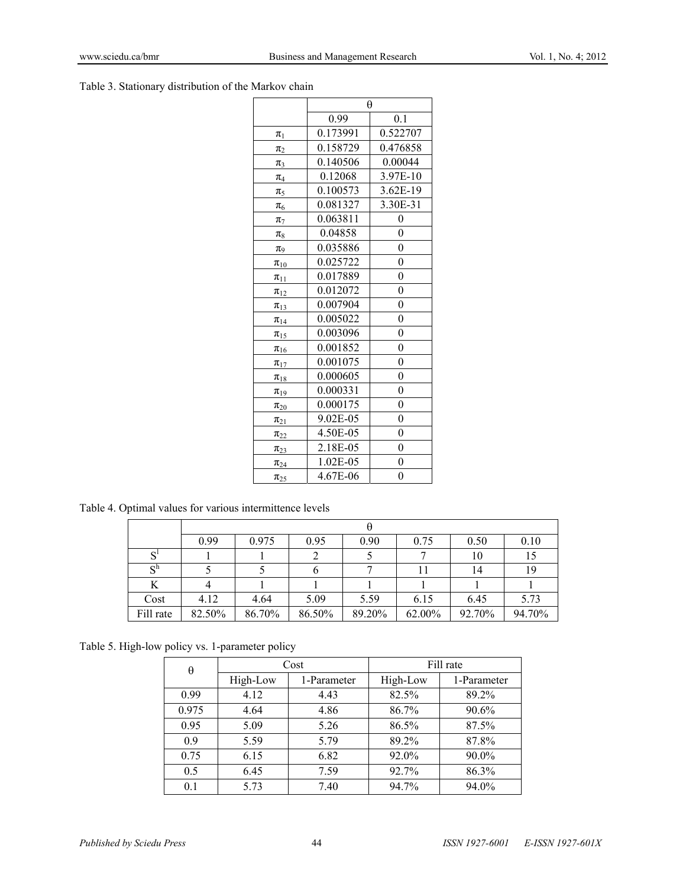Table 3. Stationary distribution of the Markov chain

|               | θ        |                  |  |  |
|---------------|----------|------------------|--|--|
|               | 0.99     | 0.1              |  |  |
| $\pmb{\pi}_1$ | 0.173991 | 0.522707         |  |  |
| $\pi_2$       | 0.158729 | 0.476858         |  |  |
| $\pi_3$       | 0.140506 | 0.00044          |  |  |
| $\pi_4$       | 0.12068  | 3.97E-10         |  |  |
| $\pi_5$       | 0.100573 | 3.62E-19         |  |  |
| $\pi_6$       | 0.081327 | 3.30E-31         |  |  |
| $\pi_7$       | 0.063811 | 0                |  |  |
| $\pi_8$       | 0.04858  | 0                |  |  |
| $\pi_9$       | 0.035886 | $\boldsymbol{0}$ |  |  |
| $\pi_{10}$    | 0.025722 | $\boldsymbol{0}$ |  |  |
| $\pi_{11}$    | 0.017889 | $\overline{0}$   |  |  |
| $\pi_{12}$    | 0.012072 | $\boldsymbol{0}$ |  |  |
| $\pi_{13}$    | 0.007904 | $\boldsymbol{0}$ |  |  |
| $\pi_{14}$    | 0.005022 | $\boldsymbol{0}$ |  |  |
| $\pi_{15}$    | 0.003096 | $\boldsymbol{0}$ |  |  |
| $\pi_{16}$    | 0.001852 | 0                |  |  |
| $\pi_{17}$    | 0.001075 | $\boldsymbol{0}$ |  |  |
| $\pi_{18}$    | 0.000605 | $\overline{0}$   |  |  |
| $\pi_{19}$    | 0.000331 | $\boldsymbol{0}$ |  |  |
| $\pi_{20}$    | 0.000175 | $\boldsymbol{0}$ |  |  |
| $\pi_{21}$    | 9.02E-05 | 0                |  |  |
| $\pi_{22}$    | 4.50E-05 | $\boldsymbol{0}$ |  |  |
| $\pi_{23}$    | 2.18E-05 | $\boldsymbol{0}$ |  |  |
| $\pi_{24}$    | 1.02E-05 | $\theta$         |  |  |
| $\pi_{25}$    | 4.67E-06 | 0                |  |  |

Table 4. Optimal values for various intermittence levels

|                      | 0.99   | 0.975  | 0.95   | 0.90   | 0.75   | 0.50   | 0.10   |
|----------------------|--------|--------|--------|--------|--------|--------|--------|
|                      |        |        |        |        |        | 10     | 15     |
| $\mathbf{C}^{\hbar}$ |        |        |        |        |        | 14     | 19     |
|                      |        |        |        |        |        |        |        |
| Cost                 | 4.12   | 4.64   | 5.09   | 5.59   | 6.15   | 6.45   | 5.73   |
| Fill rate            | 82.50% | 86.70% | 86.50% | 89.20% | 62.00% | 92.70% | 94.70% |

Table 5. High-low policy vs. 1-parameter policy

| θ     | Cost     |             | Fill rate |             |  |
|-------|----------|-------------|-----------|-------------|--|
|       | High-Low | 1-Parameter | High-Low  | 1-Parameter |  |
| 0.99  | 4.12     | 4.43        | 82.5%     | 89.2%       |  |
| 0.975 | 4.64     | 4.86        | 86.7%     | 90.6%       |  |
| 0.95  | 5.09     | 5.26        | 86.5%     | 87.5%       |  |
| 0.9   | 5.59     | 5.79        | 89.2%     | 87.8%       |  |
| 0.75  | 6.15     | 6.82        | 92.0%     | 90.0%       |  |
| 0.5   | 6.45     | 7.59        | 92.7%     | 86.3%       |  |
| 0.1   | 5.73     | 7.40        | 94.7%     | 94.0%       |  |